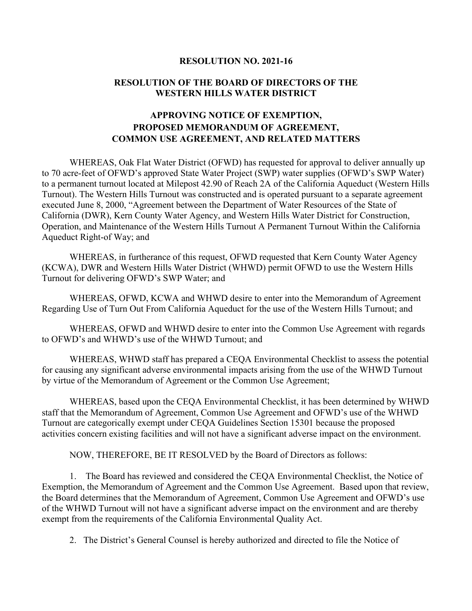## **RESOLUTION NO. 2021-16**

## **RESOLUTION OF THE BOARD OF DIRECTORS OF THE WESTERN HILLS WATER DISTRICT**

## **APPROVING NOTICE OF EXEMPTION, PROPOSED MEMORANDUM OF AGREEMENT, COMMON USE AGREEMENT, AND RELATED MATTERS**

WHEREAS, Oak Flat Water District (OFWD) has requested for approval to deliver annually up to 70 acre-feet of OFWD's approved State Water Project (SWP) water supplies (OFWD's SWP Water) to a permanent turnout located at Milepost 42.90 of Reach 2A of the California Aqueduct (Western Hills Turnout). The Western Hills Turnout was constructed and is operated pursuant to a separate agreement executed June 8, 2000, "Agreement between the Department of Water Resources of the State of California (DWR), Kern County Water Agency, and Western Hills Water District for Construction, Operation, and Maintenance of the Western Hills Turnout A Permanent Turnout Within the California Aqueduct Right-of Way; and

WHEREAS, in furtherance of this request, OFWD requested that Kern County Water Agency (KCWA), DWR and Western Hills Water District (WHWD) permit OFWD to use the Western Hills Turnout for delivering OFWD's SWP Water; and

WHEREAS, OFWD, KCWA and WHWD desire to enter into the Memorandum of Agreement Regarding Use of Turn Out From California Aqueduct for the use of the Western Hills Turnout; and

WHEREAS, OFWD and WHWD desire to enter into the Common Use Agreement with regards to OFWD's and WHWD's use of the WHWD Turnout; and

WHEREAS, WHWD staff has prepared a CEQA Environmental Checklist to assess the potential for causing any significant adverse environmental impacts arising from the use of the WHWD Turnout by virtue of the Memorandum of Agreement or the Common Use Agreement;

WHEREAS, based upon the CEQA Environmental Checklist, it has been determined by WHWD staff that the Memorandum of Agreement, Common Use Agreement and OFWD's use of the WHWD Turnout are categorically exempt under CEQA Guidelines Section 15301 because the proposed activities concern existing facilities and will not have a significant adverse impact on the environment.

NOW, THEREFORE, BE IT RESOLVED by the Board of Directors as follows:

1. The Board has reviewed and considered the CEQA Environmental Checklist, the Notice of Exemption, the Memorandum of Agreement and the Common Use Agreement. Based upon that review, the Board determines that the Memorandum of Agreement, Common Use Agreement and OFWD's use of the WHWD Turnout will not have a significant adverse impact on the environment and are thereby exempt from the requirements of the California Environmental Quality Act.

2. The District's General Counsel is hereby authorized and directed to file the Notice of